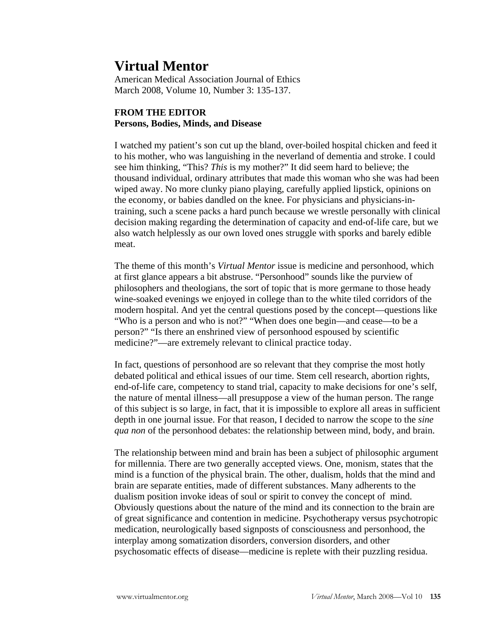## **Virtual Mentor**

American Medical Association Journal of Ethics March 2008, Volume 10, Number 3: 135-137.

## **FROM THE EDITOR Persons, Bodies, Minds, and Disease**

I watched my patient's son cut up the bland, over-boiled hospital chicken and feed it to his mother, who was languishing in the neverland of dementia and stroke. I could see him thinking, "This? *This* is my mother?" It did seem hard to believe; the thousand individual, ordinary attributes that made this woman who she was had been wiped away. No more clunky piano playing, carefully applied lipstick, opinions on the economy, or babies dandled on the knee. For physicians and physicians-intraining, such a scene packs a hard punch because we wrestle personally with clinical decision making regarding the determination of capacity and end-of-life care, but we also watch helplessly as our own loved ones struggle with sporks and barely edible meat.

The theme of this month's *Virtual Mentor* issue is medicine and personhood, which at first glance appears a bit abstruse. "Personhood" sounds like the purview of philosophers and theologians, the sort of topic that is more germane to those heady wine-soaked evenings we enjoyed in college than to the white tiled corridors of the modern hospital. And yet the central questions posed by the concept—questions like "Who is a person and who is not?" "When does one begin—and cease—to be a person?" "Is there an enshrined view of personhood espoused by scientific medicine?"—are extremely relevant to clinical practice today.

In fact, questions of personhood are so relevant that they comprise the most hotly debated political and ethical issues of our time. Stem cell research, abortion rights, end-of-life care, competency to stand trial, capacity to make decisions for one's self, the nature of mental illness—all presuppose a view of the human person. The range of this subject is so large, in fact, that it is impossible to explore all areas in sufficient depth in one journal issue. For that reason, I decided to narrow the scope to the *sine qua non* of the personhood debates: the relationship between mind, body, and brain.

The relationship between mind and brain has been a subject of philosophic argument for millennia. There are two generally accepted views. One, monism, states that the mind is a function of the physical brain. The other, dualism, holds that the mind and brain are separate entities, made of different substances. Many adherents to the dualism position invoke ideas of soul or spirit to convey the concept of mind. Obviously questions about the nature of the mind and its connection to the brain are of great significance and contention in medicine. Psychotherapy versus psychotropic medication, neurologically based signposts of consciousness and personhood, the interplay among somatization disorders, conversion disorders, and other psychosomatic effects of disease—medicine is replete with their puzzling residua.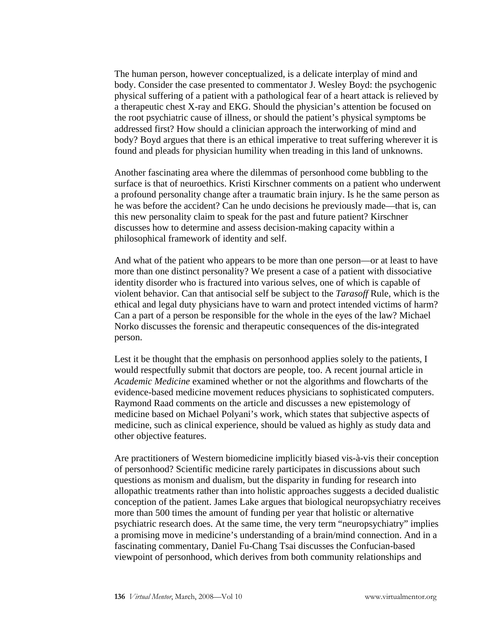The human person, however conceptualized, is a delicate interplay of mind and body. Consider the case presented to commentator J. Wesley Boyd: the psychogenic physical suffering of a patient with a pathological fear of a heart attack is relieved by a therapeutic chest X-ray and EKG. Should the physician's attention be focused on the root psychiatric cause of illness, or should the patient's physical symptoms be addressed first? How should a clinician approach the interworking of mind and body? Boyd argues that there is an ethical imperative to treat suffering wherever it is found and pleads for physician humility when treading in this land of unknowns.

Another fascinating area where the dilemmas of personhood come bubbling to the surface is that of neuroethics. Kristi Kirschner comments on a patient who underwent a profound personality change after a traumatic brain injury. Is he the same person as he was before the accident? Can he undo decisions he previously made—that is, can this new personality claim to speak for the past and future patient? Kirschner discusses how to determine and assess decision-making capacity within a philosophical framework of identity and self.

And what of the patient who appears to be more than one person—or at least to have more than one distinct personality? We present a case of a patient with dissociative identity disorder who is fractured into various selves, one of which is capable of violent behavior. Can that antisocial self be subject to the *Tarasoff* Rule, which is the ethical and legal duty physicians have to warn and protect intended victims of harm? Can a part of a person be responsible for the whole in the eyes of the law? Michael Norko discusses the forensic and therapeutic consequences of the dis-integrated person.

Lest it be thought that the emphasis on personhood applies solely to the patients, I would respectfully submit that doctors are people, too. A recent journal article in *Academic Medicine* examined whether or not the algorithms and flowcharts of the evidence-based medicine movement reduces physicians to sophisticated computers. Raymond Raad comments on the article and discusses a new epistemology of medicine based on Michael Polyani's work, which states that subjective aspects of medicine, such as clinical experience, should be valued as highly as study data and other objective features.

Are practitioners of Western biomedicine implicitly biased vis-à-vis their conception of personhood? Scientific medicine rarely participates in discussions about such questions as monism and dualism, but the disparity in funding for research into allopathic treatments rather than into holistic approaches suggests a decided dualistic conception of the patient. James Lake argues that biological neuropsychiatry receives more than 500 times the amount of funding per year that holistic or alternative psychiatric research does. At the same time, the very term "neuropsychiatry" implies a promising move in medicine's understanding of a brain/mind connection. And in a fascinating commentary, Daniel Fu-Chang Tsai discusses the Confucian-based viewpoint of personhood, which derives from both community relationships and